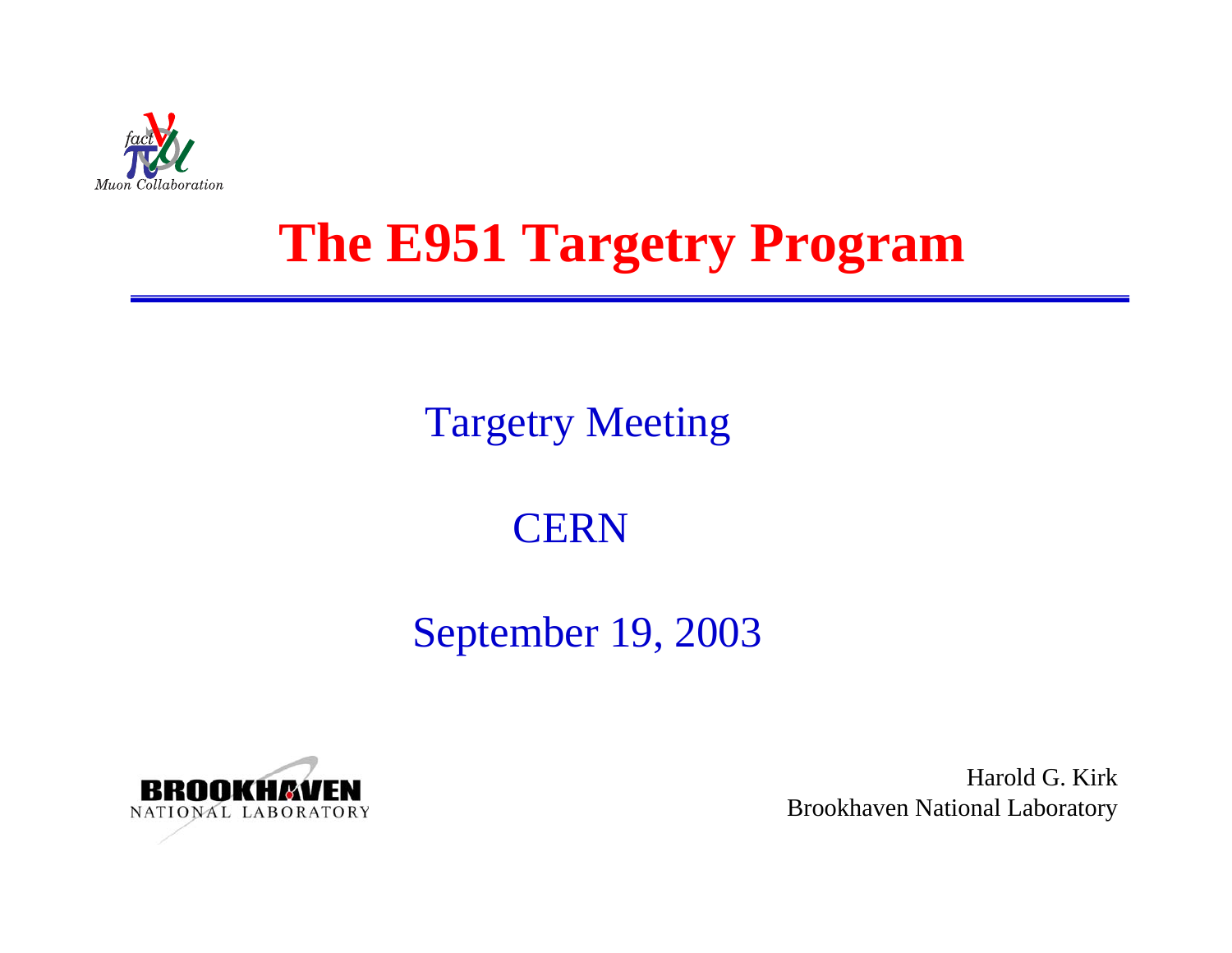

## **The E951 Targetry Program**

### Targetry Meeting

### **CERN**

### September 19, 2003



Harold G. KirkBrookhaven National Laboratory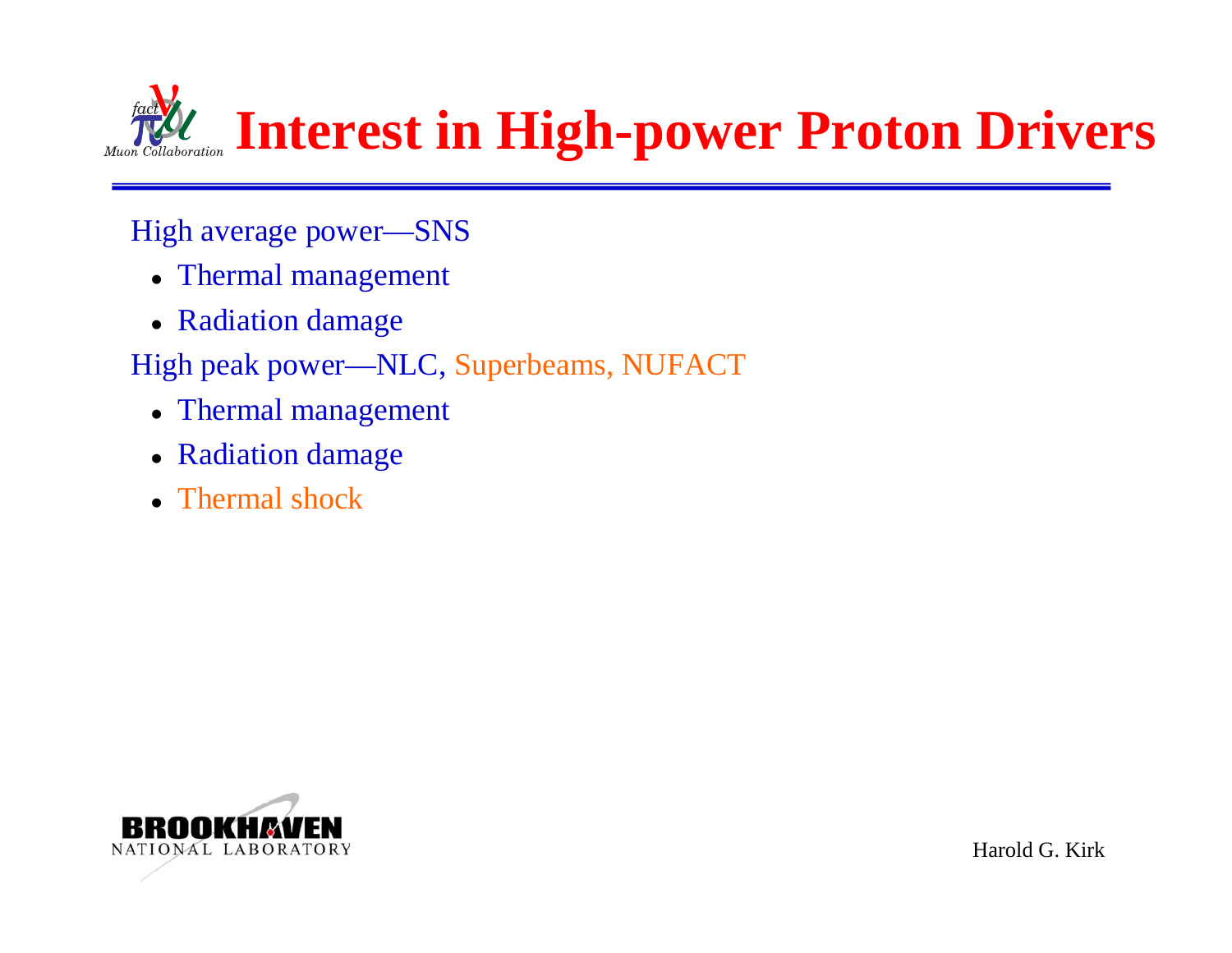

### High average power—SNS

- Thermal management
- Radiation damage
- High peak power—NLC, Superbeams, NUFACT
	- Thermal management
	- Radiation damage
	- Thermal shock

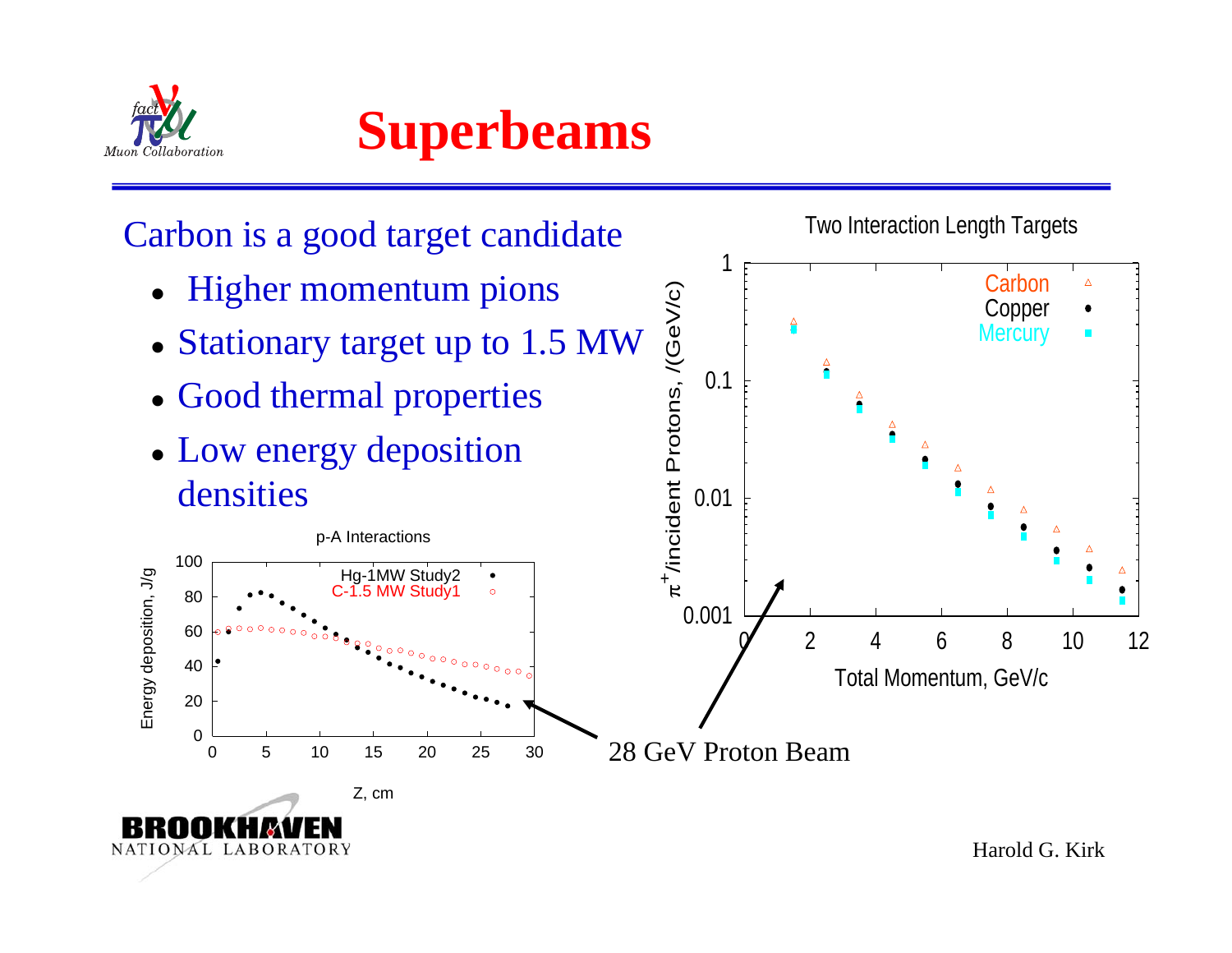

**Superbeams**

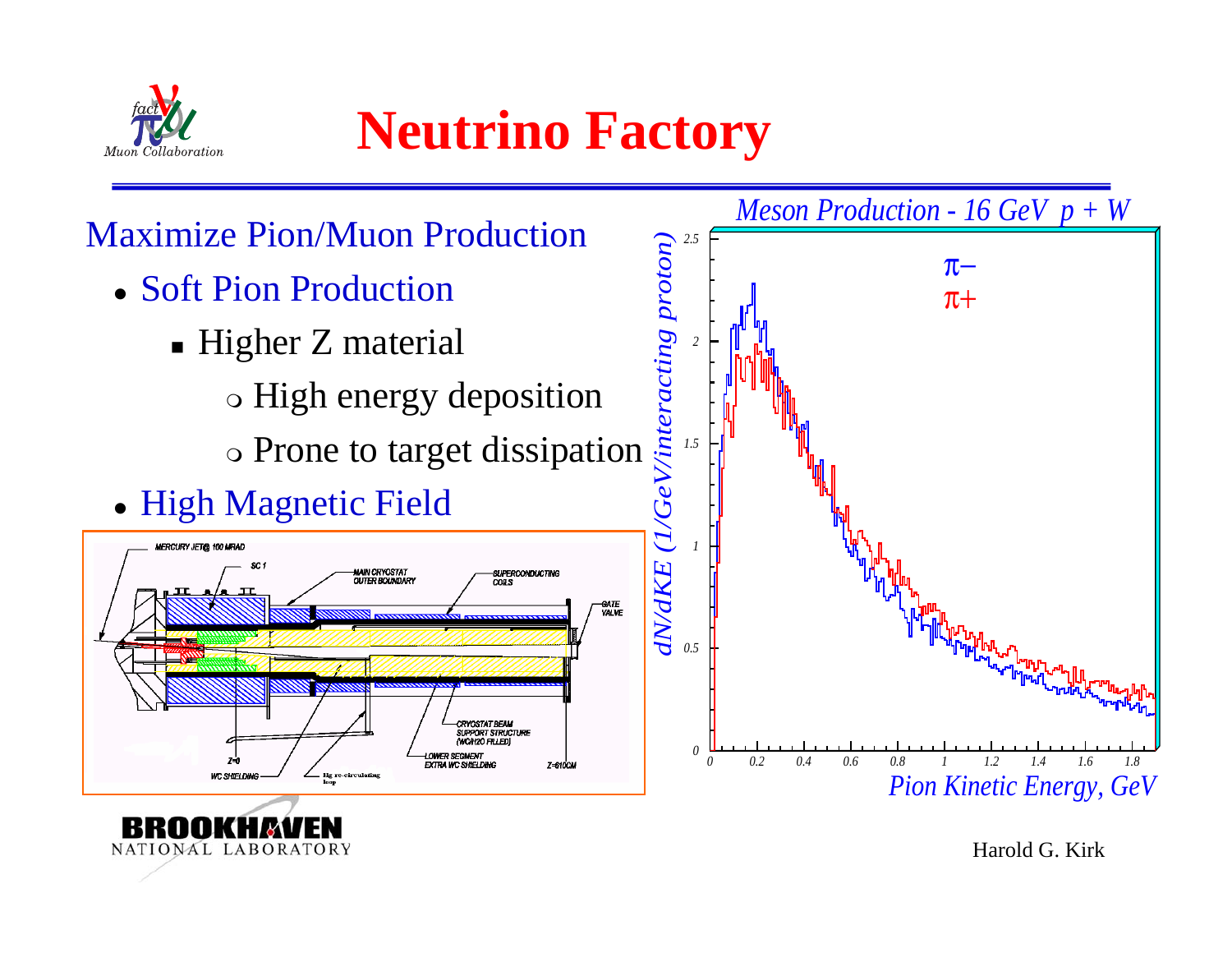

NATIONAL LABORATORY

**Neutrino Factory**

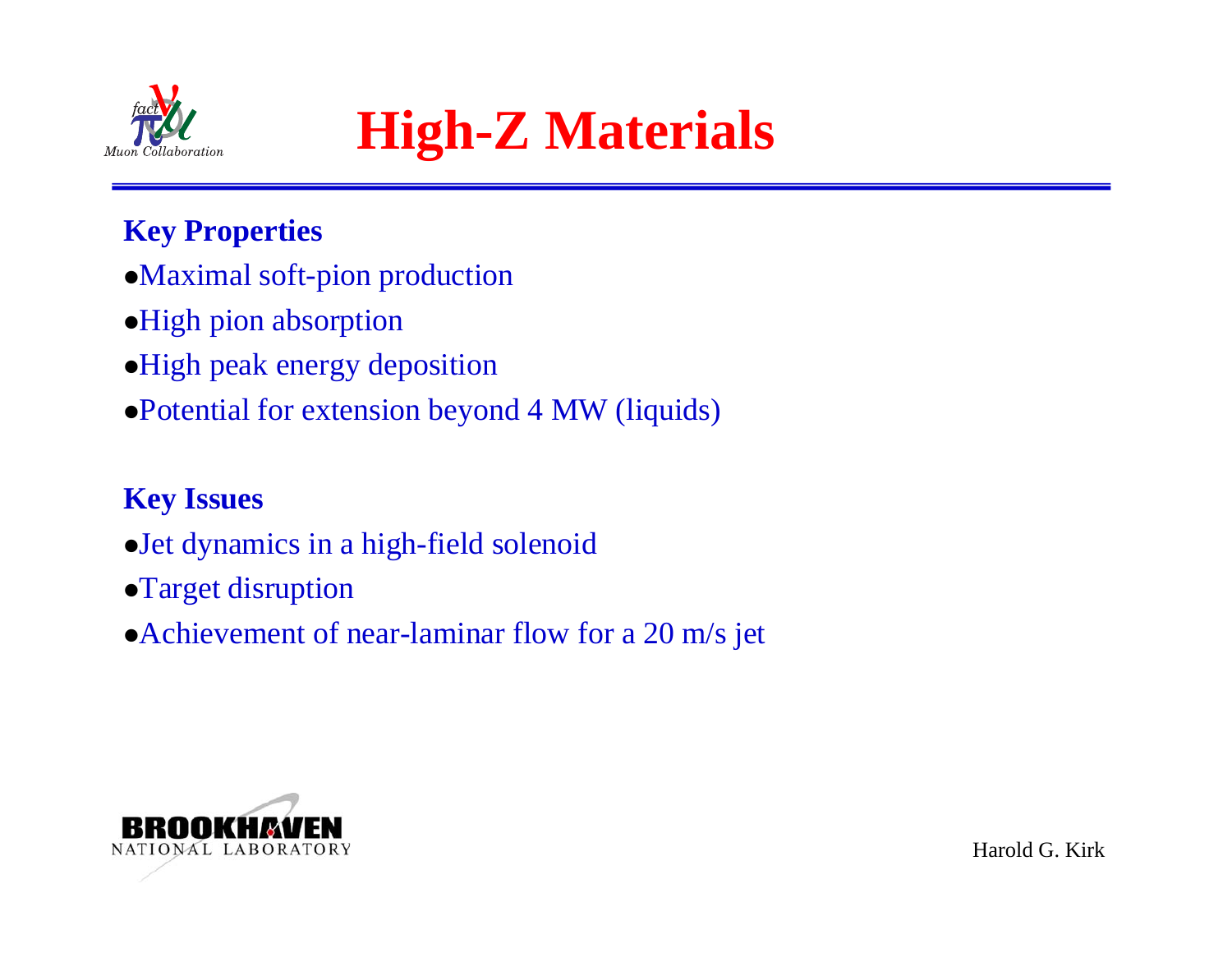



### **Key Properties**

- Maximal soft-pion production
- High pion absorption
- High peak energy deposition
- Potential for extension beyond 4 MW (liquids)

### **Key Issues**

- Jet dynamics in a high-field solenoid
- Target disruption
- $\bullet$  Achievement of near-laminar flow for a 20 m/s jet

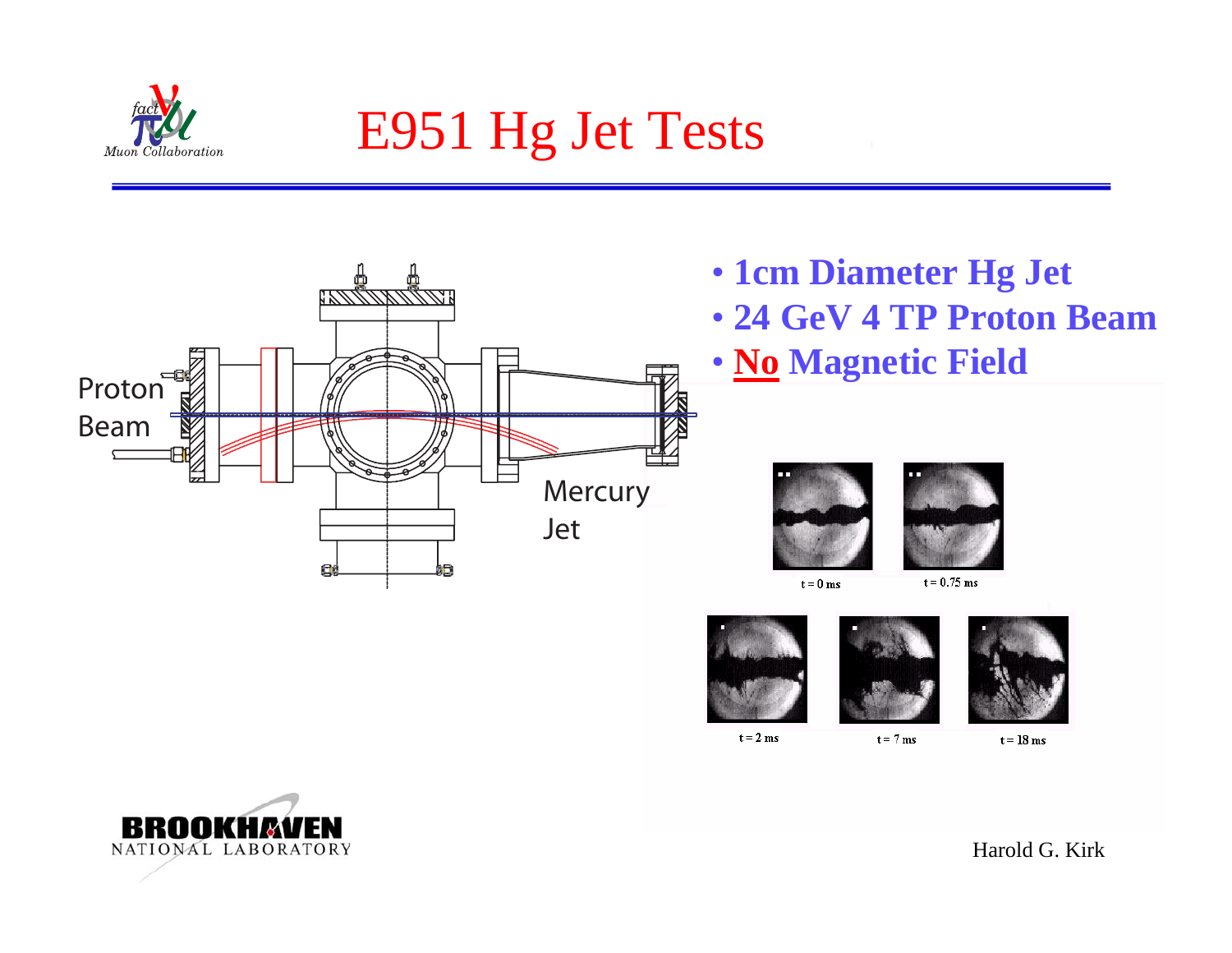

# E951 Hg Jet Tests



- **1cm Diameter Hg Jet**
- **24 GeV4 TP Proton Beam**
- **No Magnetic Field**





 $t = 0$  ms

 $t = 0.75$  ms







 $t = 2$  ms

 $t = 7$  ms

 $t = 18$  ms

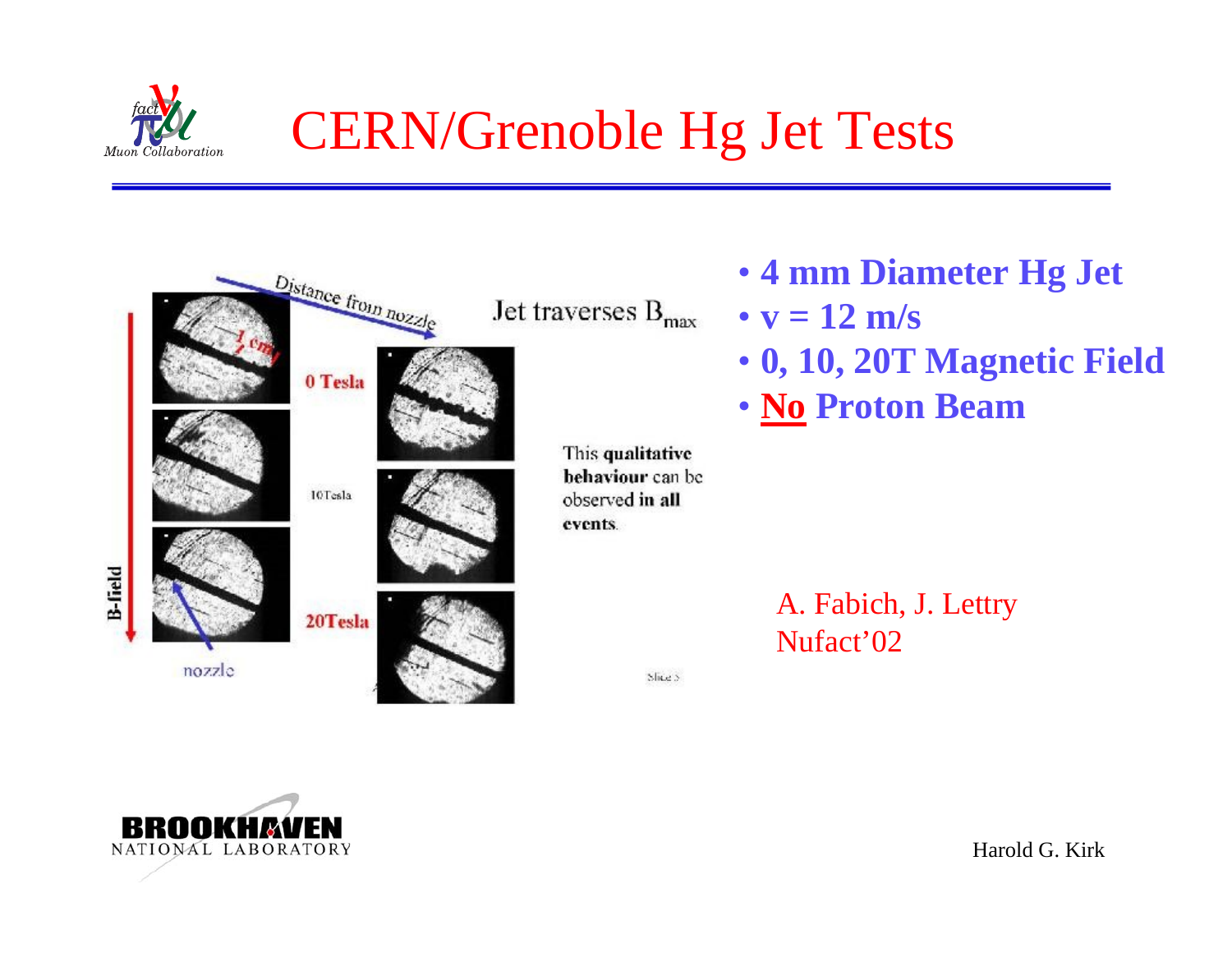

# CERN/Grenoble Hg Jet Tests



- **4 mm Diameter Hg Jet**
- **v = 12 m/s**
- **0, 10, 20T Magnetic Field**
- **No Proton Beam**

A. Fabich, J. Lettry Nufact'02

Shes

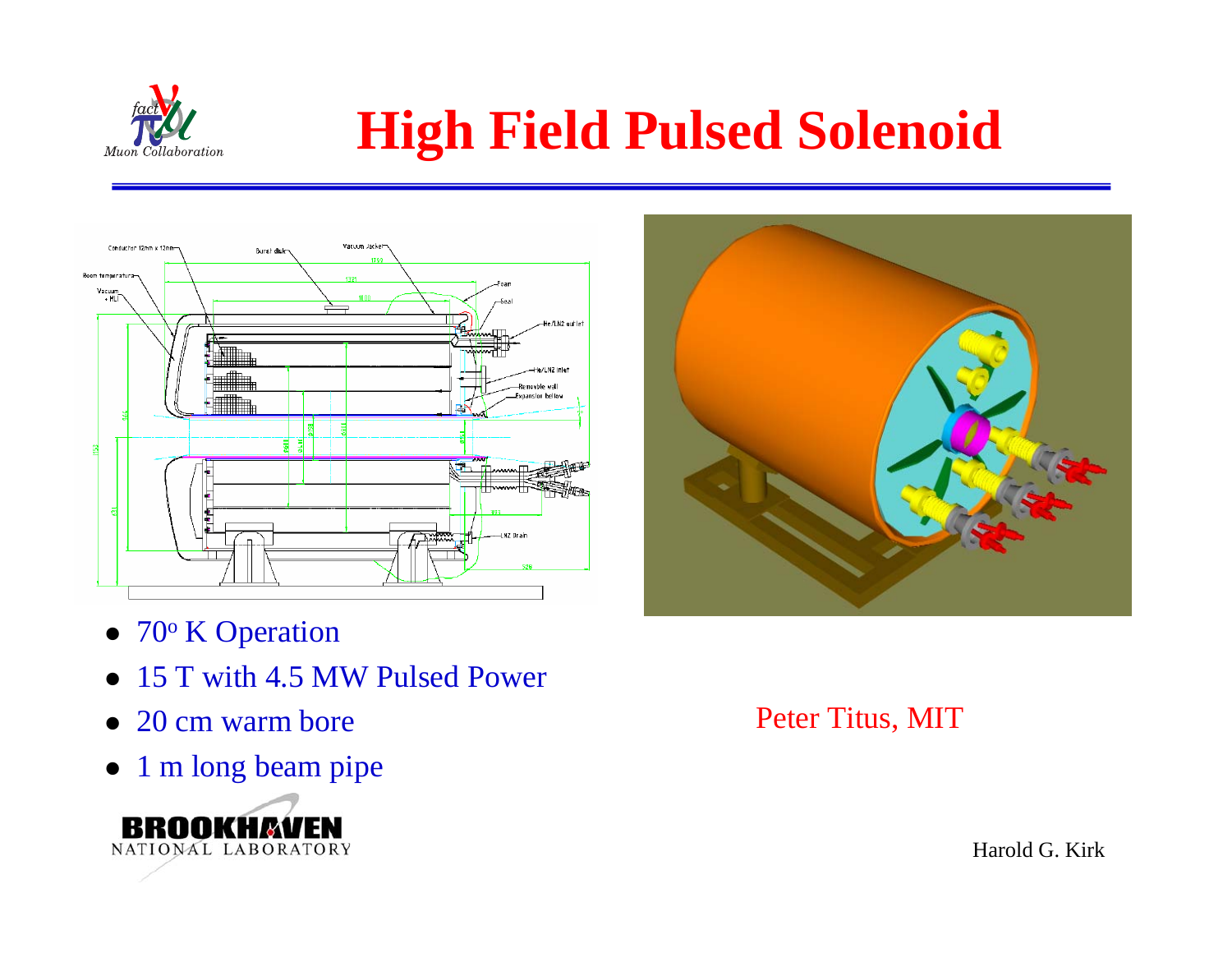

# **High Field Pulsed Solenoid**





- $\bullet$  70 $\rm{^{\circ}}$  K Operation
- $\bullet$ 15 T with 4.5 MW Pulsed Power
- $\bullet$ 20 cm warm bore
- $\bullet$ 1 m long beam pipe



#### Peter Titus, MIT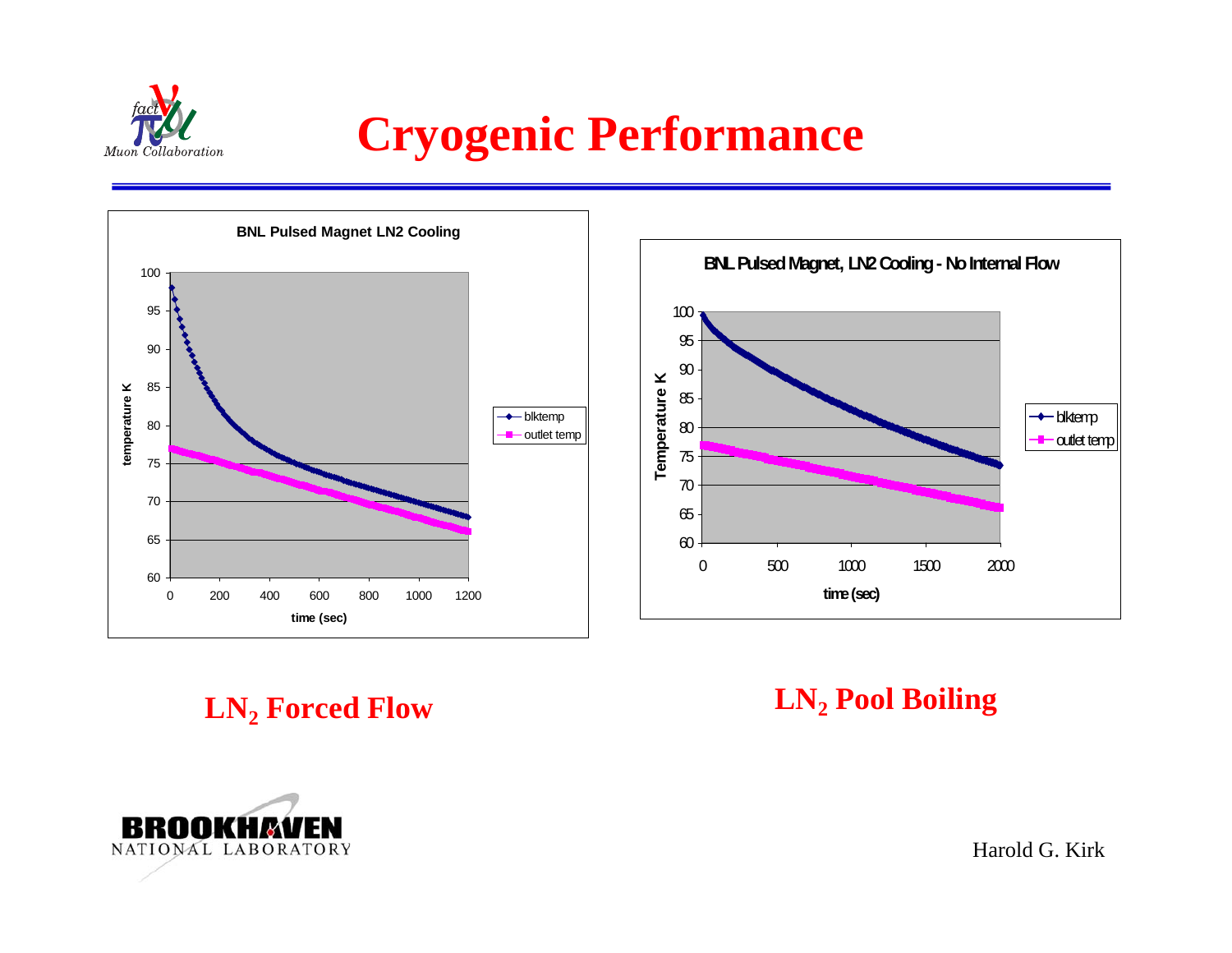

## **Cryogenic Performance**



**LN LN 2 Forced Flow**

### **2 Pool Boiling**

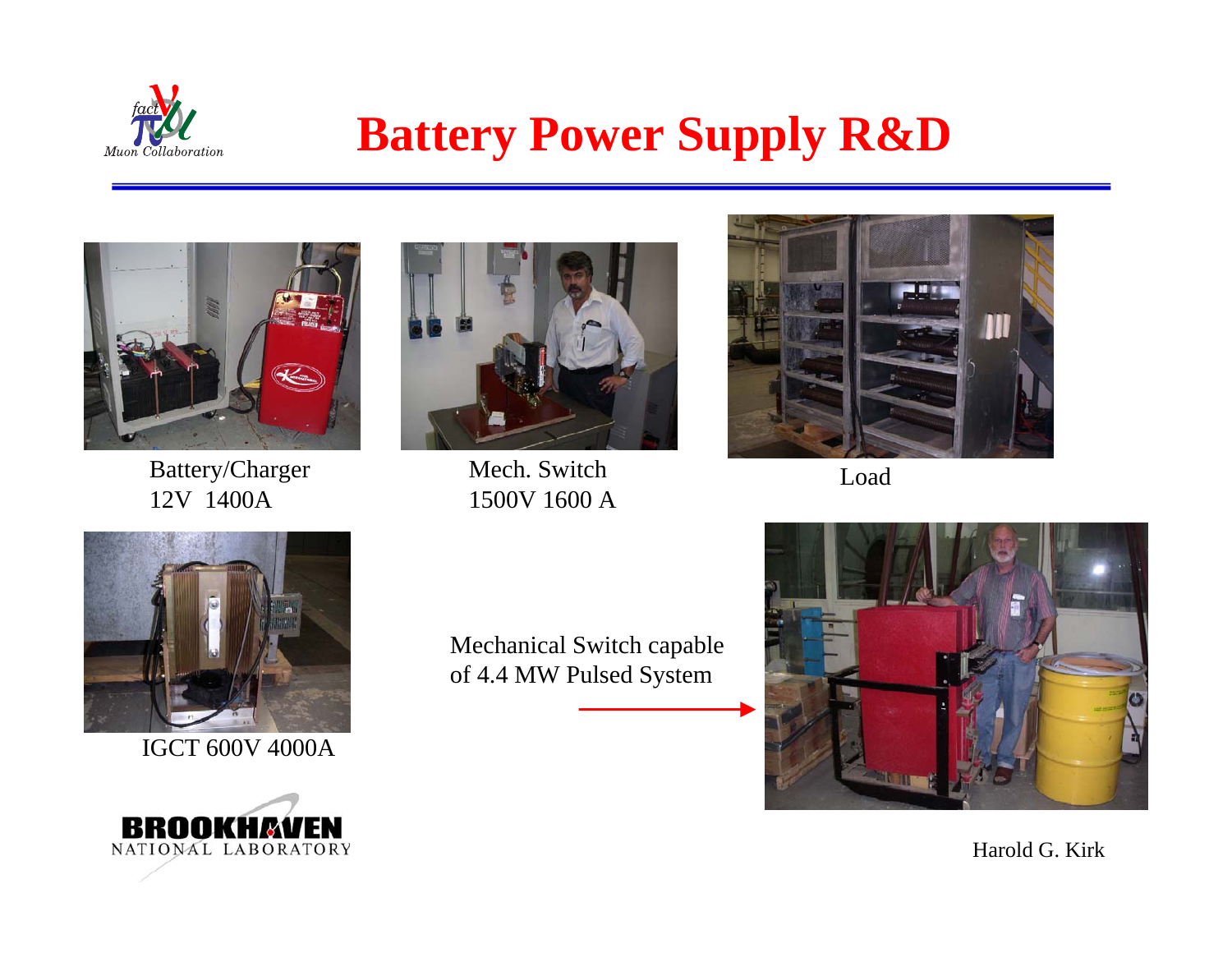

## **Battery Power Supply R&D**



Battery/Charger 12V 1400A



Mech. Switch1500V 1600 A



Load



IGCT 600V 4000A



Mechanical Switch capable of 4.4 M W Pulsed S ystem

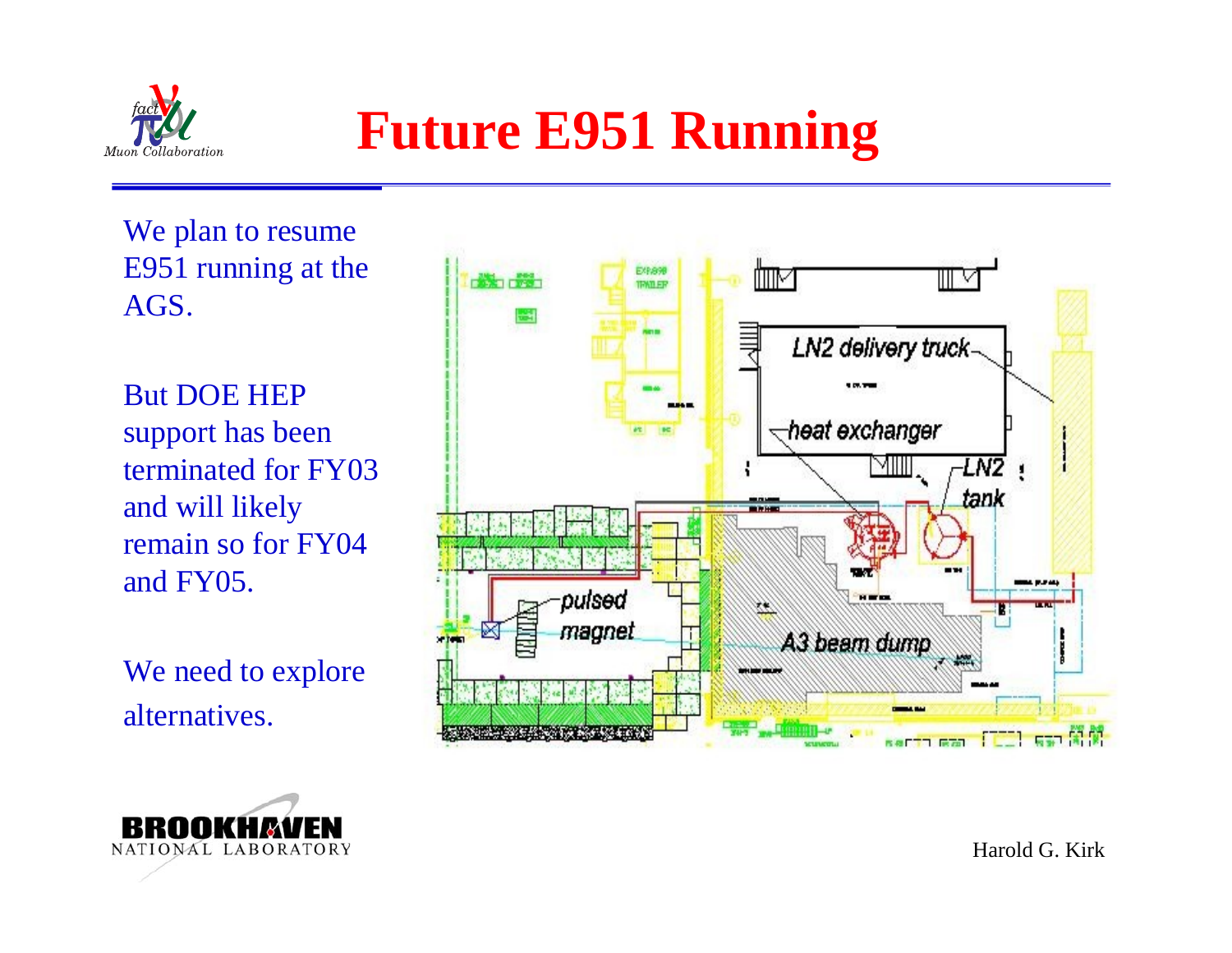

# **Future E951 Running**

We plan to resume E951 running at the AGS.

But DOE HEP support has been terminated for FY03 and will likely remain so for FY04 and FY05.

We need to explore alternatives.